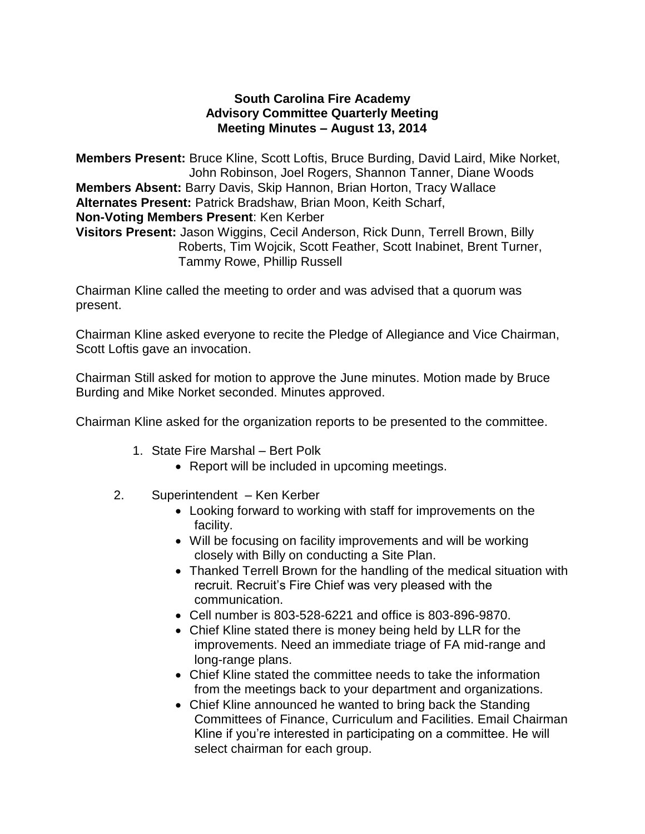# **South Carolina Fire Academy Advisory Committee Quarterly Meeting Meeting Minutes – August 13, 2014**

**Members Present:** Bruce Kline, Scott Loftis, Bruce Burding, David Laird, Mike Norket, John Robinson, Joel Rogers, Shannon Tanner, Diane Woods **Members Absent:** Barry Davis, Skip Hannon, Brian Horton, Tracy Wallace **Alternates Present:** Patrick Bradshaw, Brian Moon, Keith Scharf, **Non-Voting Members Present**: Ken Kerber **Visitors Present:** Jason Wiggins, Cecil Anderson, Rick Dunn, Terrell Brown, Billy Roberts, Tim Wojcik, Scott Feather, Scott Inabinet, Brent Turner, Tammy Rowe, Phillip Russell

Chairman Kline called the meeting to order and was advised that a quorum was present.

Chairman Kline asked everyone to recite the Pledge of Allegiance and Vice Chairman, Scott Loftis gave an invocation.

Chairman Still asked for motion to approve the June minutes. Motion made by Bruce Burding and Mike Norket seconded. Minutes approved.

Chairman Kline asked for the organization reports to be presented to the committee.

- 1. State Fire Marshal Bert Polk
	- Report will be included in upcoming meetings.
- 2. Superintendent Ken Kerber
	- Looking forward to working with staff for improvements on the facility.
	- Will be focusing on facility improvements and will be working closely with Billy on conducting a Site Plan.
	- Thanked Terrell Brown for the handling of the medical situation with recruit. Recruit's Fire Chief was very pleased with the communication.
	- Cell number is 803-528-6221 and office is 803-896-9870.
	- Chief Kline stated there is money being held by LLR for the improvements. Need an immediate triage of FA mid-range and long-range plans.
	- Chief Kline stated the committee needs to take the information from the meetings back to your department and organizations.
	- Chief Kline announced he wanted to bring back the Standing Committees of Finance, Curriculum and Facilities. Email Chairman Kline if you're interested in participating on a committee. He will select chairman for each group.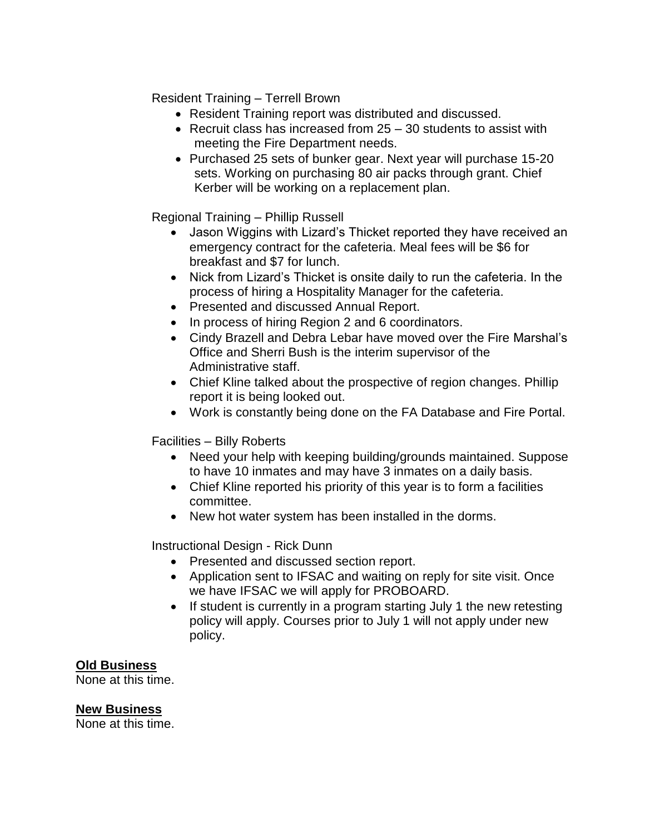Resident Training – Terrell Brown

- Resident Training report was distributed and discussed.
- Recruit class has increased from 25 30 students to assist with meeting the Fire Department needs.
- Purchased 25 sets of bunker gear. Next year will purchase 15-20 sets. Working on purchasing 80 air packs through grant. Chief Kerber will be working on a replacement plan.

Regional Training – Phillip Russell

- Jason Wiggins with Lizard's Thicket reported they have received an emergency contract for the cafeteria. Meal fees will be \$6 for breakfast and \$7 for lunch.
- Nick from Lizard's Thicket is onsite daily to run the cafeteria. In the process of hiring a Hospitality Manager for the cafeteria.
- Presented and discussed Annual Report.
- In process of hiring Region 2 and 6 coordinators.
- Cindy Brazell and Debra Lebar have moved over the Fire Marshal's Office and Sherri Bush is the interim supervisor of the Administrative staff.
- Chief Kline talked about the prospective of region changes. Phillip report it is being looked out.
- Work is constantly being done on the FA Database and Fire Portal.

Facilities – Billy Roberts

- Need your help with keeping building/grounds maintained. Suppose to have 10 inmates and may have 3 inmates on a daily basis.
- Chief Kline reported his priority of this year is to form a facilities committee.
- New hot water system has been installed in the dorms.

Instructional Design - Rick Dunn

- Presented and discussed section report.
- Application sent to IFSAC and waiting on reply for site visit. Once we have IFSAC we will apply for PROBOARD.
- If student is currently in a program starting July 1 the new retesting policy will apply. Courses prior to July 1 will not apply under new policy.

### **Old Business**

None at this time.

### **New Business**

None at this time.